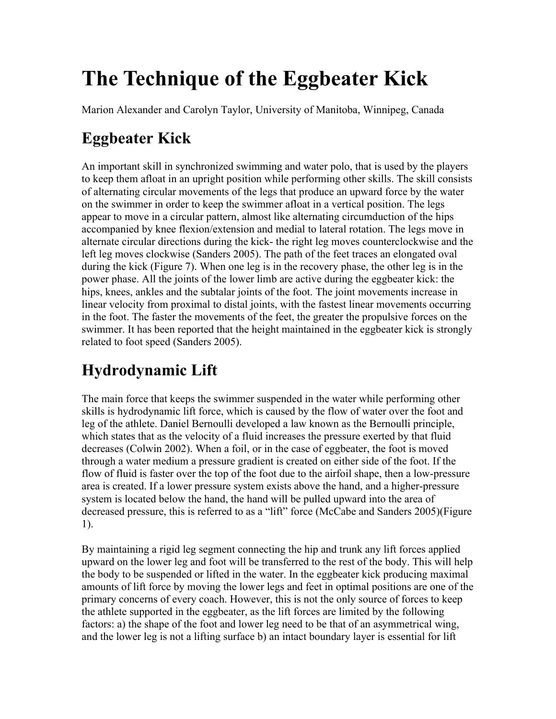# **The Technique of the Eggbeater Kick**

Marion Alexander and Carolyn Taylor, University of Manitoba, Winnipeg, Canada

# **Eggbeater Kick**

An important skill in synchronized swimming and water polo, that is used by the players to keep them afloat in an upright position while performing other skills. The skill consists of alternating circular movements of the legs that produce an upward force by the water on the swimmer in order to keep the swimmer afloat in a vertical position. The legs appear to move in a circular pattern, almost like alternating circumduction of the hips accompanied by knee flexion/extension and medial to lateral rotation. The legs move in alternate circular directions during the kick- the right leg moves counterclockwise and the left leg moves clockwise (Sanders 2005). The path of the feet traces an elongated oval during the kick (Figure 7). When one leg is in the recovery phase, the other leg is in the power phase. All the joints of the lower limb are active during the eggbeater kick: the hips, knees, ankles and the subtalar joints of the foot. The joint movements increase in linear velocity from proximal to distal joints, with the fastest linear movements occurring in the foot. The faster the movements of the feet, the greater the propulsive forces on the swimmer. It has been reported that the height maintained in the eggbeater kick is strongly related to foot speed (Sanders 2005).

# **Hydrodynamic Lift**

The main force that keeps the swimmer suspended in the water while performing other skills is hydrodynamic lift force, which is caused by the flow of water over the foot and leg of the athlete. Daniel Bernoulli developed a law known as the Bernoulli principle, which states that as the velocity of a fluid increases the pressure exerted by that fluid decreases (Colwin 2002). When a foil, or in the case of eggbeater, the foot is moved through a water medium a pressure gradient is created on either side of the foot. If the flow of fluid is faster over the top of the foot due to the airfoil shape, then a low-pressure area is created. If a lower pressure system exists above the hand, and a higher-pressure system is located below the hand, the hand will be pulled upward into the area of decreased pressure, this is referred to as a "lift" force (McCabe and Sanders 2005)(Figure 1).

By maintaining a rigid leg segment connecting the hip and trunk any lift forces applied upward on the lower leg and foot will be transferred to the rest of the body. This will help the body to be suspended or lifted in the water. In the eggbeater kick producing maximal amounts of lift force by moving the lower legs and feet in optimal positions are one of the primary concerns of every coach. However, this is not the only source of forces to keep the athlete supported in the eggbeater, as the lift forces are limited by the following factors: a) the shape of the foot and lower leg need to be that of an asymmetrical wing, and the lower leg is not a lifting surface b) an intact boundary layer is essential for lift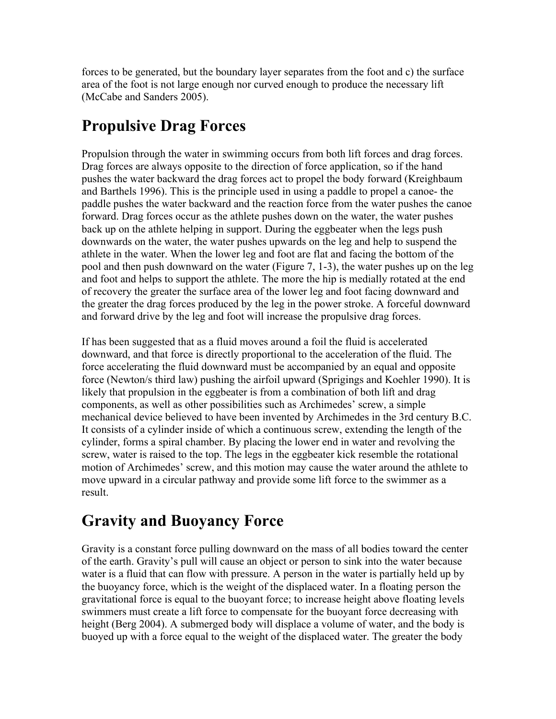forces to be generated, but the boundary layer separates from the foot and c) the surface area of the foot is not large enough nor curved enough to produce the necessary lift (McCabe and Sanders 2005).

### **Propulsive Drag Forces**

Propulsion through the water in swimming occurs from both lift forces and drag forces. Drag forces are always opposite to the direction of force application, so if the hand pushes the water backward the drag forces act to propel the body forward (Kreighbaum and Barthels 1996). This is the principle used in using a paddle to propel a canoe- the paddle pushes the water backward and the reaction force from the water pushes the canoe forward. Drag forces occur as the athlete pushes down on the water, the water pushes back up on the athlete helping in support. During the eggbeater when the legs push downwards on the water, the water pushes upwards on the leg and help to suspend the athlete in the water. When the lower leg and foot are flat and facing the bottom of the pool and then push downward on the water (Figure 7, 1-3), the water pushes up on the leg and foot and helps to support the athlete. The more the hip is medially rotated at the end of recovery the greater the surface area of the lower leg and foot facing downward and the greater the drag forces produced by the leg in the power stroke. A forceful downward and forward drive by the leg and foot will increase the propulsive drag forces.

If has been suggested that as a fluid moves around a foil the fluid is accelerated downward, and that force is directly proportional to the acceleration of the fluid. The force accelerating the fluid downward must be accompanied by an equal and opposite force (Newton/s third law) pushing the airfoil upward (Sprigings and Koehler 1990). It is likely that propulsion in the eggbeater is from a combination of both lift and drag components, as well as other possibilities such as Archimedes' screw, a simple mechanical device believed to have been invented by Archimedes in the 3rd century B.C. It consists of a cylinder inside of which a continuous screw, extending the length of the cylinder, forms a spiral chamber. By placing the lower end in water and revolving the screw, water is raised to the top. The legs in the eggbeater kick resemble the rotational motion of Archimedes' screw, and this motion may cause the water around the athlete to move upward in a circular pathway and provide some lift force to the swimmer as a result.

### **Gravity and Buoyancy Force**

Gravity is a constant force pulling downward on the mass of all bodies toward the center of the earth. Gravity's pull will cause an object or person to sink into the water because water is a fluid that can flow with pressure. A person in the water is partially held up by the buoyancy force, which is the weight of the displaced water. In a floating person the gravitational force is equal to the buoyant force; to increase height above floating levels swimmers must create a lift force to compensate for the buoyant force decreasing with height (Berg 2004). A submerged body will displace a volume of water, and the body is buoyed up with a force equal to the weight of the displaced water. The greater the body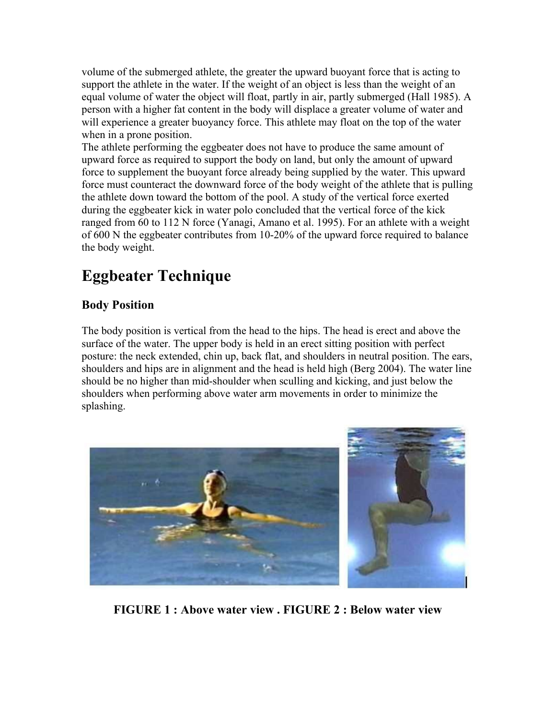volume of the submerged athlete, the greater the upward buoyant force that is acting to support the athlete in the water. If the weight of an object is less than the weight of an equal volume of water the object will float, partly in air, partly submerged (Hall 1985). A person with a higher fat content in the body will displace a greater volume of water and will experience a greater buoyancy force. This athlete may float on the top of the water when in a prone position.

The athlete performing the eggbeater does not have to produce the same amount of upward force as required to support the body on land, but only the amount of upward force to supplement the buoyant force already being supplied by the water. This upward force must counteract the downward force of the body weight of the athlete that is pulling the athlete down toward the bottom of the pool. A study of the vertical force exerted during the eggbeater kick in water polo concluded that the vertical force of the kick ranged from 60 to 112 N force (Yanagi, Amano et al. 1995). For an athlete with a weight of 600 N the eggbeater contributes from 10-20% of the upward force required to balance the body weight.

## **Eggbeater Technique**

#### **Body Position**

The body position is vertical from the head to the hips. The head is erect and above the surface of the water. The upper body is held in an erect sitting position with perfect posture: the neck extended, chin up, back flat, and shoulders in neutral position. The ears, shoulders and hips are in alignment and the head is held high (Berg 2004). The water line should be no higher than mid-shoulder when sculling and kicking, and just below the shoulders when performing above water arm movements in order to minimize the splashing.



**FIGURE 1 : Above water view . FIGURE 2 : Below water view**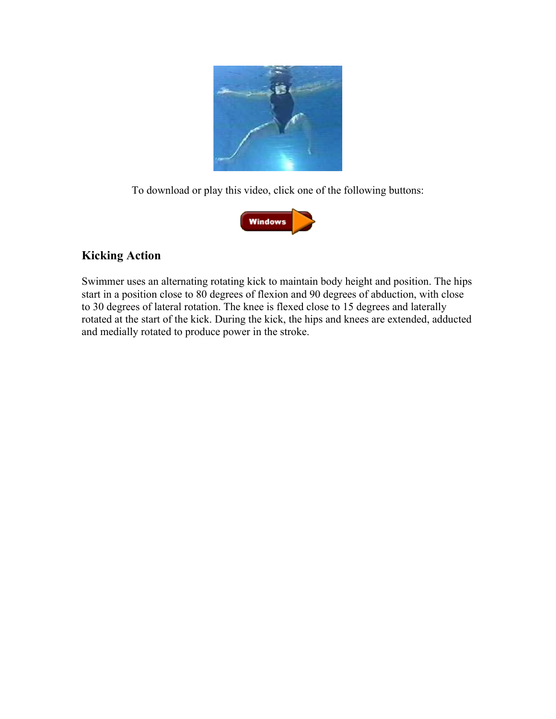

To download or play this video, click one of the following buttons:



#### **Kicking Action**

Swimmer uses an alternating rotating kick to maintain body height and position. The hips start in a position close to 80 degrees of flexion and 90 degrees of abduction, with close to 30 degrees of lateral rotation. The knee is flexed close to 15 degrees and laterally rotated at the start of the kick. During the kick, the hips and knees are extended, adducted and medially rotated to produce power in the stroke.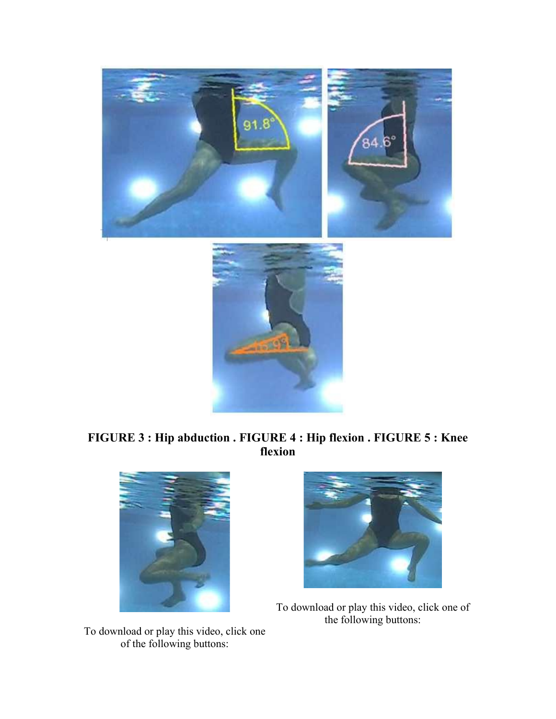

#### **FIGURE 3 : Hip abduction . FIGURE 4 : Hip flexion . FIGURE 5 : Knee flexion**





To download or play this video, click one of the following buttons:

To download or play this video, click one of the following buttons: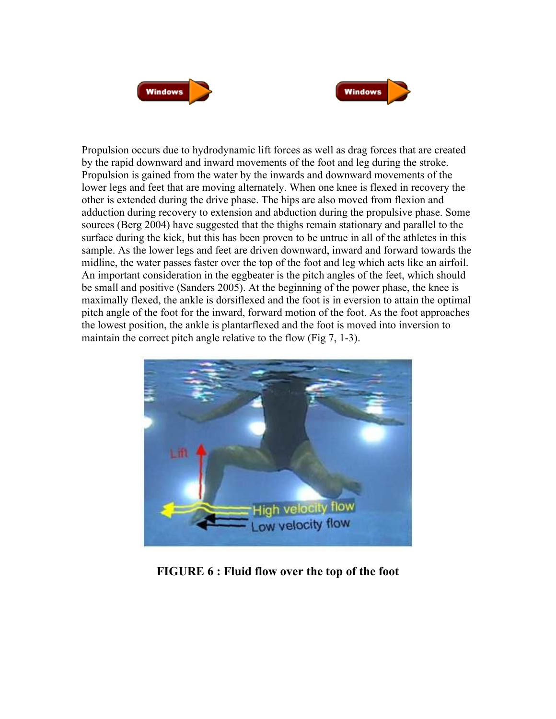



Propulsion occurs due to hydrodynamic lift forces as well as drag forces that are created by the rapid downward and inward movements of the foot and leg during the stroke. Propulsion is gained from the water by the inwards and downward movements of the lower legs and feet that are moving alternately. When one knee is flexed in recovery the other is extended during the drive phase. The hips are also moved from flexion and adduction during recovery to extension and abduction during the propulsive phase. Some sources (Berg 2004) have suggested that the thighs remain stationary and parallel to the surface during the kick, but this has been proven to be untrue in all of the athletes in this sample. As the lower legs and feet are driven downward, inward and forward towards the midline, the water passes faster over the top of the foot and leg which acts like an airfoil. An important consideration in the eggbeater is the pitch angles of the feet, which should be small and positive (Sanders 2005). At the beginning of the power phase, the knee is maximally flexed, the ankle is dorsiflexed and the foot is in eversion to attain the optimal pitch angle of the foot for the inward, forward motion of the foot. As the foot approaches the lowest position, the ankle is plantarflexed and the foot is moved into inversion to maintain the correct pitch angle relative to the flow (Fig 7, 1-3).



**FIGURE 6 : Fluid flow over the top of the foot**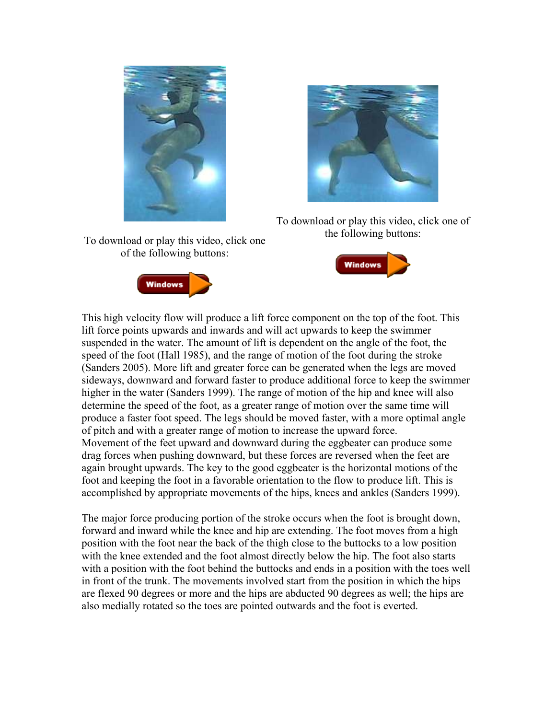



To download or play this video, click one of the following buttons:

**Windows** 

To download or play this video, click one of the following buttons:



This high velocity flow will produce a lift force component on the top of the foot. This lift force points upwards and inwards and will act upwards to keep the swimmer suspended in the water. The amount of lift is dependent on the angle of the foot, the speed of the foot (Hall 1985), and the range of motion of the foot during the stroke (Sanders 2005). More lift and greater force can be generated when the legs are moved sideways, downward and forward faster to produce additional force to keep the swimmer higher in the water (Sanders 1999). The range of motion of the hip and knee will also determine the speed of the foot, as a greater range of motion over the same time will produce a faster foot speed. The legs should be moved faster, with a more optimal angle of pitch and with a greater range of motion to increase the upward force. Movement of the feet upward and downward during the eggbeater can produce some drag forces when pushing downward, but these forces are reversed when the feet are again brought upwards. The key to the good eggbeater is the horizontal motions of the foot and keeping the foot in a favorable orientation to the flow to produce lift. This is accomplished by appropriate movements of the hips, knees and ankles (Sanders 1999).

The major force producing portion of the stroke occurs when the foot is brought down, forward and inward while the knee and hip are extending. The foot moves from a high position with the foot near the back of the thigh close to the buttocks to a low position with the knee extended and the foot almost directly below the hip. The foot also starts with a position with the foot behind the buttocks and ends in a position with the toes well in front of the trunk. The movements involved start from the position in which the hips are flexed 90 degrees or more and the hips are abducted 90 degrees as well; the hips are also medially rotated so the toes are pointed outwards and the foot is everted.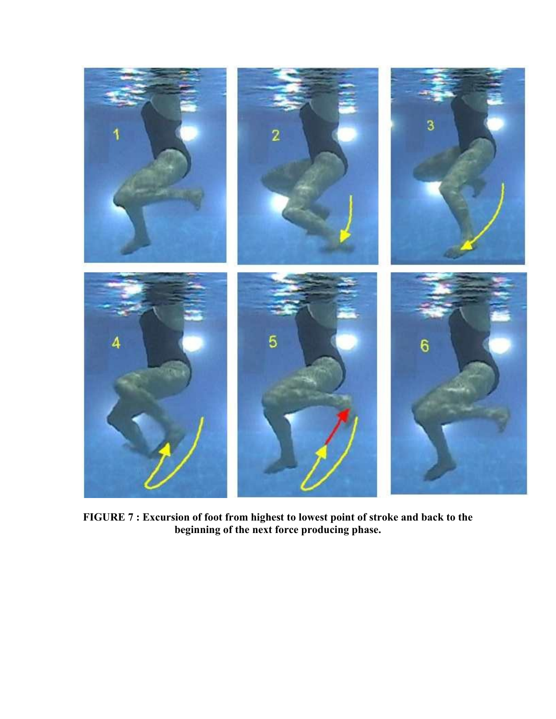

**FIGURE 7 : Excursion of foot from highest to lowest point of stroke and back to the beginning of the next force producing phase.**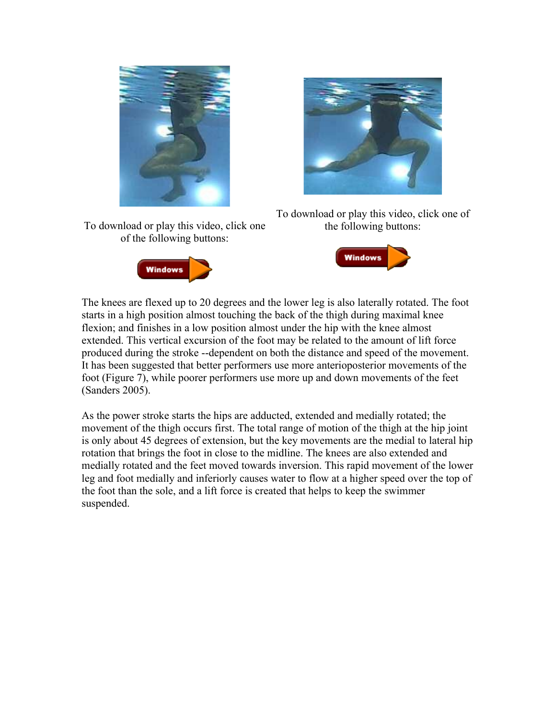



To download or play this video, click one of the following buttons:







The knees are flexed up to 20 degrees and the lower leg is also laterally rotated. The foot starts in a high position almost touching the back of the thigh during maximal knee flexion; and finishes in a low position almost under the hip with the knee almost extended. This vertical excursion of the foot may be related to the amount of lift force produced during the stroke --dependent on both the distance and speed of the movement. It has been suggested that better performers use more anterioposterior movements of the foot (Figure 7), while poorer performers use more up and down movements of the feet (Sanders 2005).

As the power stroke starts the hips are adducted, extended and medially rotated; the movement of the thigh occurs first. The total range of motion of the thigh at the hip joint is only about 45 degrees of extension, but the key movements are the medial to lateral hip rotation that brings the foot in close to the midline. The knees are also extended and medially rotated and the feet moved towards inversion. This rapid movement of the lower leg and foot medially and inferiorly causes water to flow at a higher speed over the top of the foot than the sole, and a lift force is created that helps to keep the swimmer suspended.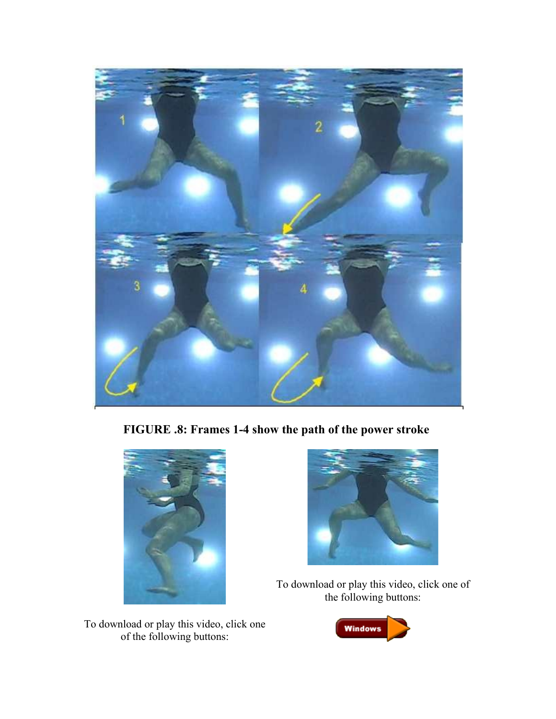

**FIGURE .8: Frames 1-4 show the path of the power stroke**





To download or play this video, click one of the following buttons:

To download or play this video, click one of the following buttons:

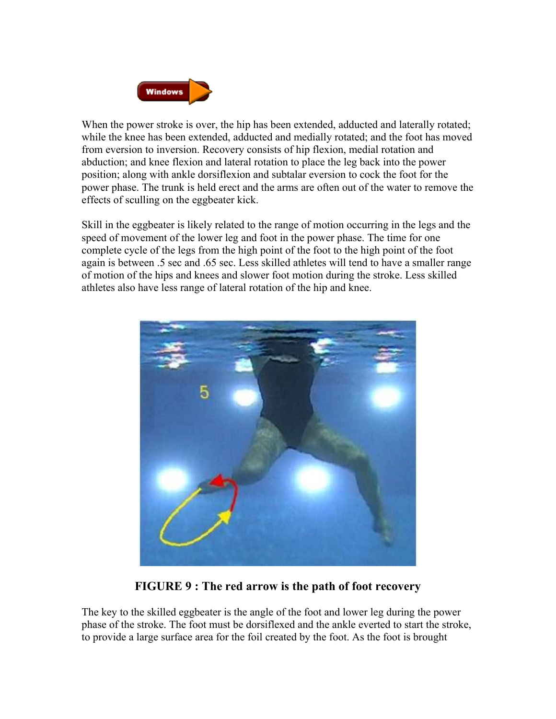

When the power stroke is over, the hip has been extended, adducted and laterally rotated; while the knee has been extended, adducted and medially rotated; and the foot has moved from eversion to inversion. Recovery consists of hip flexion, medial rotation and abduction; and knee flexion and lateral rotation to place the leg back into the power position; along with ankle dorsiflexion and subtalar eversion to cock the foot for the power phase. The trunk is held erect and the arms are often out of the water to remove the effects of sculling on the eggbeater kick.

Skill in the eggbeater is likely related to the range of motion occurring in the legs and the speed of movement of the lower leg and foot in the power phase. The time for one complete cycle of the legs from the high point of the foot to the high point of the foot again is between .5 sec and .65 sec. Less skilled athletes will tend to have a smaller range of motion of the hips and knees and slower foot motion during the stroke. Less skilled athletes also have less range of lateral rotation of the hip and knee.



**FIGURE 9 : The red arrow is the path of foot recovery**

The key to the skilled eggbeater is the angle of the foot and lower leg during the power phase of the stroke. The foot must be dorsiflexed and the ankle everted to start the stroke, to provide a large surface area for the foil created by the foot. As the foot is brought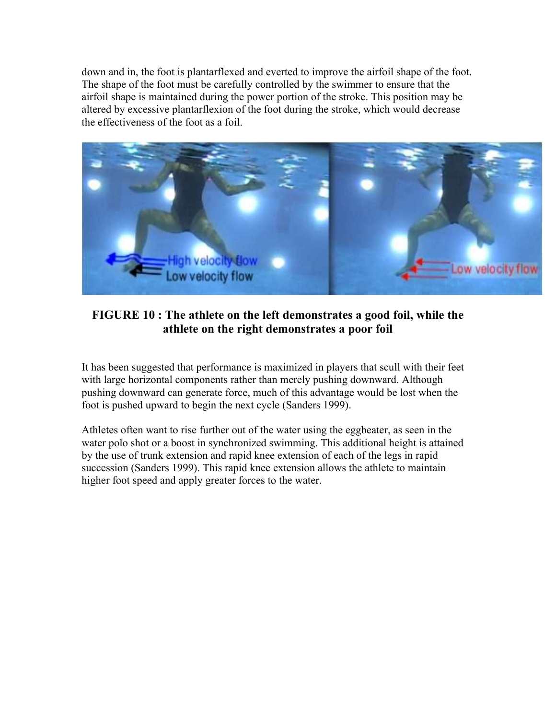down and in, the foot is plantarflexed and everted to improve the airfoil shape of the foot. The shape of the foot must be carefully controlled by the swimmer to ensure that the airfoil shape is maintained during the power portion of the stroke. This position may be altered by excessive plantarflexion of the foot during the stroke, which would decrease the effectiveness of the foot as a foil.



#### **FIGURE 10 : The athlete on the left demonstrates a good foil, while the athlete on the right demonstrates a poor foil**

It has been suggested that performance is maximized in players that scull with their feet with large horizontal components rather than merely pushing downward. Although pushing downward can generate force, much of this advantage would be lost when the foot is pushed upward to begin the next cycle (Sanders 1999).

Athletes often want to rise further out of the water using the eggbeater, as seen in the water polo shot or a boost in synchronized swimming. This additional height is attained by the use of trunk extension and rapid knee extension of each of the legs in rapid succession (Sanders 1999). This rapid knee extension allows the athlete to maintain higher foot speed and apply greater forces to the water.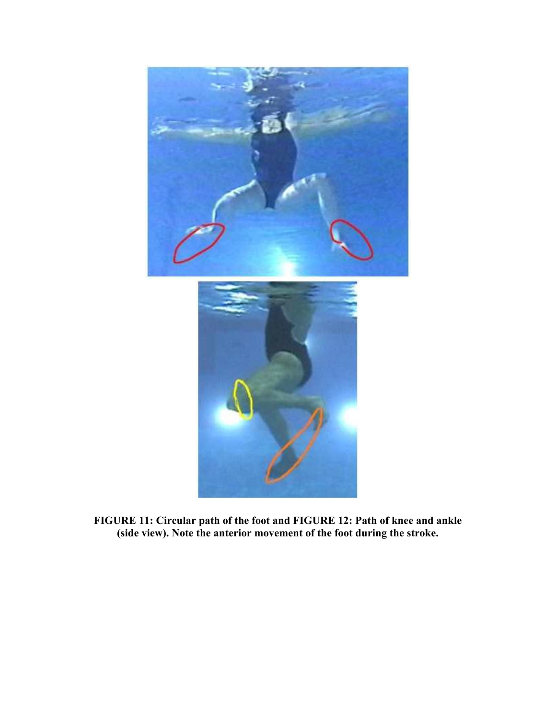

**FIGURE 11: Circular path of the foot and FIGURE 12: Path of knee and ankle (side view). Note the anterior movement of the foot during the stroke.**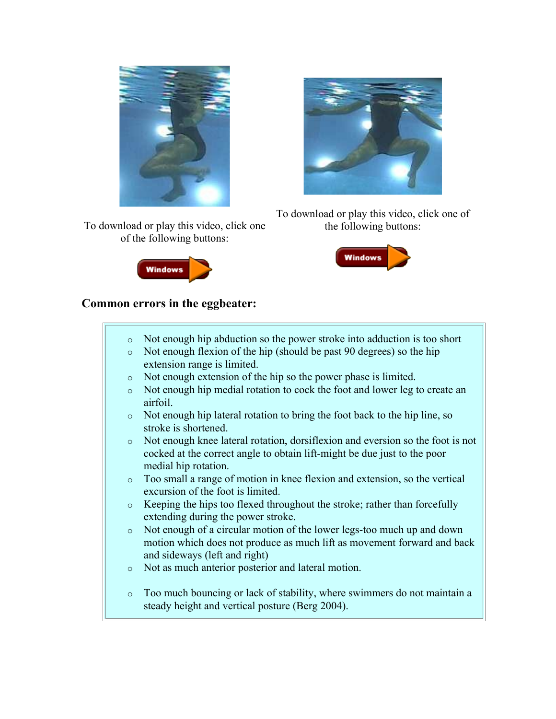

To download or play this video, click one of the following buttons:





To download or play this video, click one of the following buttons:



#### **Common errors in the eggbeater:**

o Not enough hip abduction so the power stroke into adduction is too short o Not enough flexion of the hip (should be past 90 degrees) so the hip extension range is limited. o Not enough extension of the hip so the power phase is limited. o Not enough hip medial rotation to cock the foot and lower leg to create an airfoil. o Not enough hip lateral rotation to bring the foot back to the hip line, so stroke is shortened. o Not enough knee lateral rotation, dorsiflexion and eversion so the foot is not cocked at the correct angle to obtain lift-might be due just to the poor medial hip rotation. o Too small a range of motion in knee flexion and extension, so the vertical excursion of the foot is limited. o Keeping the hips too flexed throughout the stroke; rather than forcefully extending during the power stroke. o Not enough of a circular motion of the lower legs-too much up and down motion which does not produce as much lift as movement forward and back and sideways (left and right) o Not as much anterior posterior and lateral motion. o Too much bouncing or lack of stability, where swimmers do not maintain a steady height and vertical posture (Berg 2004).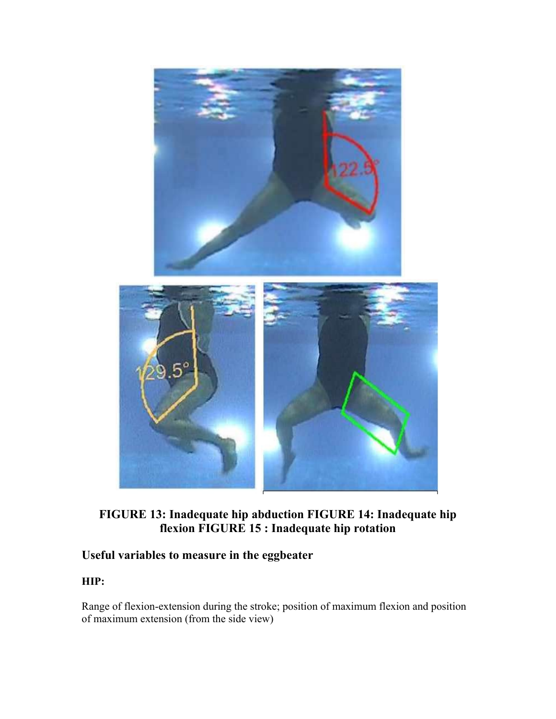

**FIGURE 13: Inadequate hip abduction FIGURE 14: Inadequate hip flexion FIGURE 15 : Inadequate hip rotation**

#### **Useful variables to measure in the eggbeater**

#### **HIP:**

Range of flexion-extension during the stroke; position of maximum flexion and position of maximum extension (from the side view)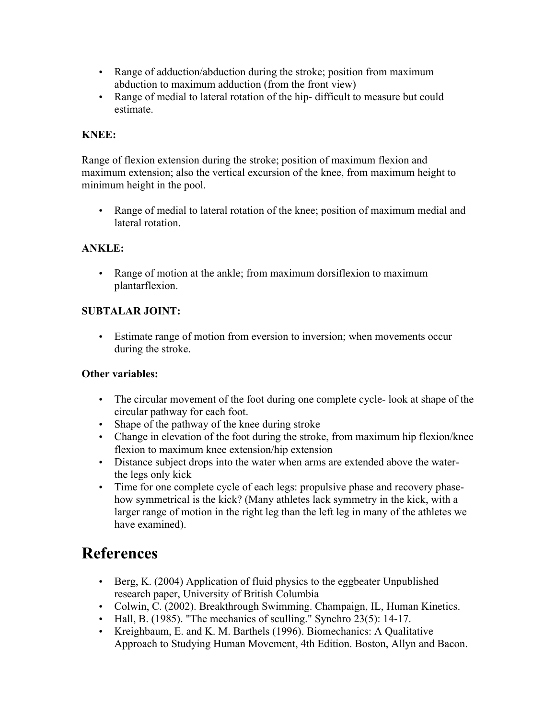- Range of adduction/abduction during the stroke; position from maximum abduction to maximum adduction (from the front view)
- Range of medial to lateral rotation of the hip- difficult to measure but could estimate.

#### **KNEE:**

Range of flexion extension during the stroke; position of maximum flexion and maximum extension; also the vertical excursion of the knee, from maximum height to minimum height in the pool.

• Range of medial to lateral rotation of the knee; position of maximum medial and lateral rotation.

#### **ANKLE:**

• Range of motion at the ankle; from maximum dorsiflexion to maximum plantarflexion.

#### **SUBTALAR JOINT:**

• Estimate range of motion from eversion to inversion; when movements occur during the stroke.

#### **Other variables:**

- The circular movement of the foot during one complete cycle- look at shape of the circular pathway for each foot.
- Shape of the pathway of the knee during stroke
- Change in elevation of the foot during the stroke, from maximum hip flexion/knee flexion to maximum knee extension/hip extension
- Distance subject drops into the water when arms are extended above the waterthe legs only kick
- Time for one complete cycle of each legs: propulsive phase and recovery phasehow symmetrical is the kick? (Many athletes lack symmetry in the kick, with a larger range of motion in the right leg than the left leg in many of the athletes we have examined).

### **References**

- Berg, K. (2004) Application of fluid physics to the eggbeater Unpublished research paper, University of British Columbia
- Colwin, C. (2002). Breakthrough Swimming. Champaign, IL, Human Kinetics.
- Hall, B. (1985). "The mechanics of sculling." Synchro 23(5): 14-17.
- Kreighbaum, E. and K. M. Barthels (1996). Biomechanics: A Qualitative Approach to Studying Human Movement, 4th Edition. Boston, Allyn and Bacon.